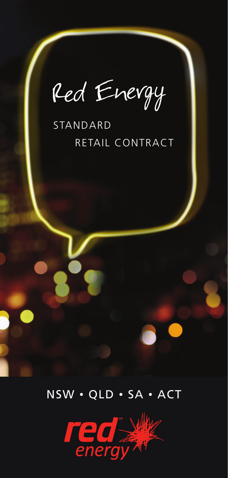Red Energy

# STANDARD RETAIL CONTRACT



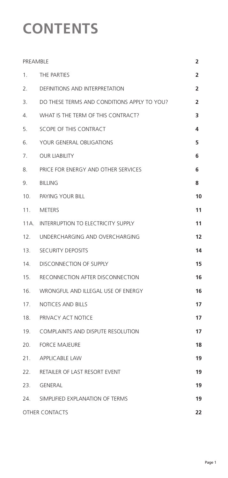# **CONTENTS**

| PREAMBLE              |                                             | $\overline{2}$ |
|-----------------------|---------------------------------------------|----------------|
| 1.                    | THE PARTIES                                 | $\overline{2}$ |
| 2.                    | DEFINITIONS AND INTERPRETATION              | 2              |
| 3.                    | DO THESE TERMS AND CONDITIONS APPLY TO YOU? | $\overline{2}$ |
| 4.                    | WHAT IS THE TERM OF THIS CONTRACT?          | 3              |
| 5.                    | SCOPE OF THIS CONTRACT                      | 4              |
| 6.                    | YOUR GENERAL OBLIGATIONS                    | 5              |
| 7.                    | <b>OUR LIABILITY</b>                        | 6              |
| 8.                    | PRICE FOR ENERGY AND OTHER SERVICES         | 6              |
| 9.                    | <b>BILLING</b>                              | 8              |
|                       | 10. PAYING YOUR BILL                        | 10             |
| 11.                   | METERS                                      | 11             |
| 11A.                  | INTERRUPTION TO ELECTRICITY SUPPLY          | 11             |
| 12.                   | UNDERCHARGING AND OVERCHARGING              | 12             |
|                       | 13. SECURITY DEPOSITS                       | 14             |
| 14.                   | <b>DISCONNECTION OF SUPPLY</b>              | 15             |
| 15.                   | RECONNECTION AFTER DISCONNECTION            | 16             |
| 16.                   | WRONGFUL AND ILLEGAL USE OF ENERGY          | 16             |
| 17.                   | <b>NOTICES AND BILLS</b>                    | 17             |
| 18.                   | PRIVACY ACT NOTICE                          | 17             |
| 19.                   | <b>COMPLAINTS AND DISPUTE RESOLUTION</b>    | 17             |
| 20.                   | <b>FORCE MAJEURE</b>                        | 18             |
| 21.                   | <b>APPLICABLE LAW</b>                       | 19             |
| 22.                   | RETAILER OF LAST RESORT EVENT               | 19             |
|                       | 23. GENERAL                                 | 19             |
| 24.                   | SIMPLIFIED EXPLANATION OF TERMS             | 19             |
| <b>OTHER CONTACTS</b> |                                             | 22             |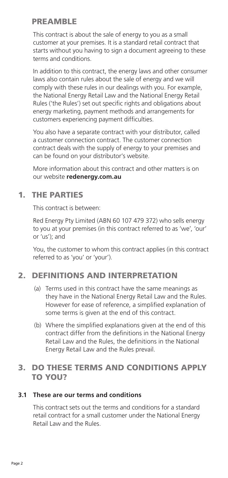# PREAMBLE

This contract is about the sale of energy to you as a small customer at your premises. It is a standard retail contract that starts without you having to sign a document agreeing to these terms and conditions.

In addition to this contract, the energy laws and other consumer laws also contain rules about the sale of energy and we will comply with these rules in our dealings with you. For example, the National Energy Retail Law and the National Energy Retail Rules ('the Rules') set out specific rights and obligations about energy marketing, payment methods and arrangements for customers experiencing payment difficulties.

You also have a separate contract with your distributor, called a customer connection contract. The customer connection contract deals with the supply of energy to your premises and can be found on your distributor's website.

More information about this contract and other matters is on our website **redenergy.com.au**

# 1. THE PARTIES

This contract is between:

Red Energy Pty Limited (ABN 60 107 479 372) who sells energy to you at your premises (in this contract referred to as 'we', 'our' or 'us'); and

You, the customer to whom this contract applies (in this contract referred to as 'you' or 'your').

# 2. DEFINITIONS AND INTERPRETATION

- (a) Terms used in this contract have the same meanings as they have in the National Energy Retail Law and the Rules. However for ease of reference, a simplified explanation of some terms is given at the end of this contract.
- (b) Where the simplified explanations given at the end of this contract differ from the definitions in the National Energy Retail Law and the Rules, the definitions in the National Energy Retail Law and the Rules prevail.

# 3. DO THESE TERMS AND CONDITIONS APPLY TO YOU?

## **3.1 These are our terms and conditions**

This contract sets out the terms and conditions for a standard retail contract for a small customer under the National Energy Retail Law and the Rules.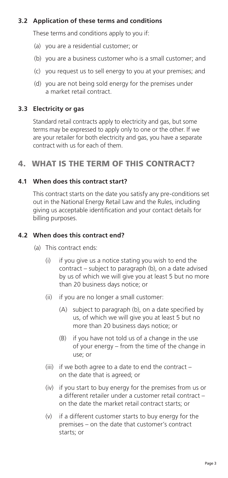# **3.2 Application of these terms and conditions**

These terms and conditions apply to you if:

- (a) you are a residential customer; or
- (b) you are a business customer who is a small customer; and
- (c) you request us to sell energy to you at your premises; and
- (d) you are not being sold energy for the premises under a market retail contract.

## **3.3 Electricity or gas**

Standard retail contracts apply to electricity and gas, but some terms may be expressed to apply only to one or the other. If we are your retailer for both electricity and gas, you have a separate contract with us for each of them.

# 4. WHAT IS THE TERM OF THIS CONTRACT?

## **4.1 When does this contract start?**

This contract starts on the date you satisfy any pre-conditions set out in the National Energy Retail Law and the Rules, including giving us acceptable identification and your contact details for billing purposes.

## **4.2 When does this contract end?**

- (a) This contract ends:
	- (i) if you give us a notice stating you wish to end the contract – subject to paragraph (b), on a date advised by us of which we will give you at least 5 but no more than 20 business days notice; or
	- (ii) if you are no longer a small customer:
		- (A) subject to paragraph (b), on a date specified by us, of which we will give you at least 5 but no more than 20 business days notice; or
		- (B) if you have not told us of a change in the use of your energy – from the time of the change in use; or
	- (iii) if we both agree to a date to end the contract on the date that is agreed; or
	- (iv) if you start to buy energy for the premises from us or a different retailer under a customer retail contract – on the date the market retail contract starts; or
	- (v) if a different customer starts to buy energy for the premises – on the date that customer's contract starts; or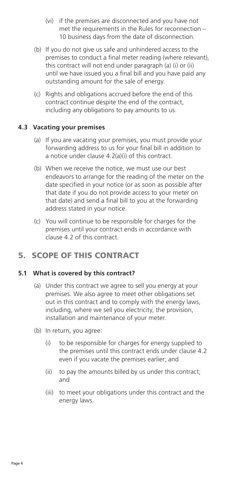- (vi) if the premises are disconnected and you have not met the requirements in the Rules for reconnection – 10 business days from the date of disconnection.
- (b) If you do not give us safe and unhindered access to the premises to conduct a final meter reading (where relevant), this contract will not end under paragraph (a) (i) or (ii) until we have issued you a final bill and you have paid any outstanding amount for the sale of energy.
- (c) Rights and obligations accrued before the end of this contract continue despite the end of the contract, including any obligations to pay amounts to us.

#### **4.3 Vacating your premises**

- (a) If you are vacating your premises, you must provide your forwarding address to us for your final bill in addition to a notice under clause 4.2(a)(i) of this contract.
- (b) When we receive the notice, we must use our best endeavors to arrange for the reading of the meter on the date specified in your notice (or as soon as possible after that date if you do not provide access to your meter on that date) and send a final bill to you at the forwarding address stated in your notice.
- (c) You will continue to be responsible for charges for the premises until your contract ends in accordance with clause 4.2 of this contract.

# 5. SCOPE OF THIS CONTRACT

## **5.1 What is covered by this contract?**

- (a) Under this contract we agree to sell you energy at your premises. We also agree to meet other obligations set out in this contract and to comply with the energy laws, including, where we sell you electricity, the provision, installation and maintenance of your meter.
- (b) In return, you agree:
	- (i) to be responsible for charges for energy supplied to the premises until this contract ends under clause 4.2 even if you vacate the premises earlier; and
	- (ii) to pay the amounts billed by us under this contract; and
	- (iii) to meet your obligations under this contract and the energy laws.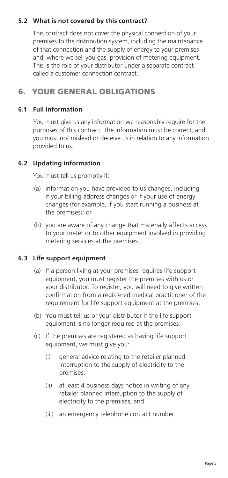# **5.2 What is not covered by this contract?**

This contract does not cover the physical connection of your premises to the distribution system, including the maintenance of that connection and the supply of energy to your premises and, where we sell you gas, provision of metering equipment. This is the role of your distributor under a separate contract called a customer connection contract.

# 6. YOUR GENERAL OBLIGATIONS

## **6.1 Full information**

You must give us any information we reasonably require for the purposes of this contract. The information must be correct, and you must not mislead or deceive us in relation to any information provided to us.

# **6.2 Updating information**

You must tell us promptly if:

- (a) information you have provided to us changes, including if your billing address changes or if your use of energy changes (for example, if you start running a business at the premises); or
- (b) you are aware of any change that materially affects access to your meter or to other equipment involved in providing metering services at the premises.

## **6.3 Life support equipment**

- (a) If a person living at your premises requires life support equipment, you must register the premises with us or your distributor. To register, you will need to give written confirmation from a registered medical practitioner of the requirement for life support equipment at the premises.
- (b) You must tell us or your distributor if the life support equipment is no longer required at the premises.
- (c) If the premises are registered as having life support equipment, we must give you:
	- (i) general advice relating to the retailer planned interruption to the supply of electricity to the premises;
	- (ii) at least 4 business days notice in writing of any retailer planned interruption to the supply of electricity to the premises; and
	- (iii) an emergency telephone contact number.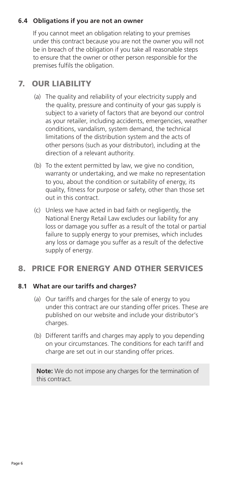# **6.4 Obligations if you are not an owner**

If you cannot meet an obligation relating to your premises under this contract because you are not the owner you will not be in breach of the obligation if you take all reasonable steps to ensure that the owner or other person responsible for the premises fulfils the obligation.

# 7. OUR LIABILITY

- (a) The quality and reliability of your electricity supply and the quality, pressure and continuity of your gas supply is subject to a variety of factors that are beyond our control as your retailer, including accidents, emergencies, weather conditions, vandalism, system demand, the technical limitations of the distribution system and the acts of other persons (such as your distributor), including at the direction of a relevant authority.
- (b) To the extent permitted by law, we give no condition, warranty or undertaking, and we make no representation to you, about the condition or suitability of energy, its quality, fitness for purpose or safety, other than those set out in this contract.
- (c) Unless we have acted in bad faith or negligently, the National Energy Retail Law excludes our liability for any loss or damage you suffer as a result of the total or partial failure to supply energy to your premises, which includes any loss or damage you suffer as a result of the defective supply of energy.

# 8. PRICE FOR ENERGY AND OTHER SERVICES

## **8.1 What are our tariffs and charges?**

- (a) Our tariffs and charges for the sale of energy to you under this contract are our standing offer prices. These are published on our website and include your distributor's charges.
- (b) Different tariffs and charges may apply to you depending on your circumstances. The conditions for each tariff and charge are set out in our standing offer prices.

**Note:** We do not impose any charges for the termination of this contract.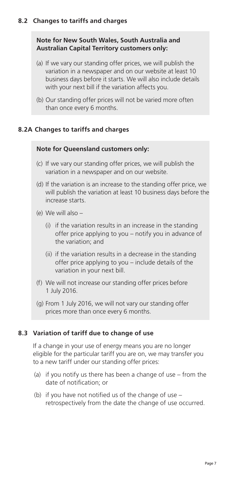# **Note for New South Wales, South Australia and Australian Capital Territory customers only:**

- (a) If we vary our standing offer prices, we will publish the variation in a newspaper and on our website at least 10 business days before it starts. We will also include details with your next bill if the variation affects you.
- (b) Our standing offer prices will not be varied more often than once every 6 months.

# **8.2A Changes to tariffs and charges**

#### **Note for Queensland customers only:**

- (c) If we vary our standing offer prices, we will publish the variation in a newspaper and on our website.
- (d) If the variation is an increase to the standing offer price, we will publish the variation at least 10 business days before the increase starts.
- (e) We will also
	- (i) if the variation results in an increase in the standing offer price applying to you – notify you in advance of the variation; and
	- (ii) if the variation results in a decrease in the standing offer price applying to you – include details of the variation in your next bill.
- (f) We will not increase our standing offer prices before 1 July 2016.
- (g) From 1 July 2016, we will not vary our standing offer prices more than once every 6 months.

## **8.3 Variation of tariff due to change of use**

If a change in your use of energy means you are no longer eligible for the particular tariff you are on, we may transfer you to a new tariff under our standing offer prices:

- (a) if you notify us there has been a change of use from the date of notification; or
- (b) if you have not notified us of the change of use retrospectively from the date the change of use occurred.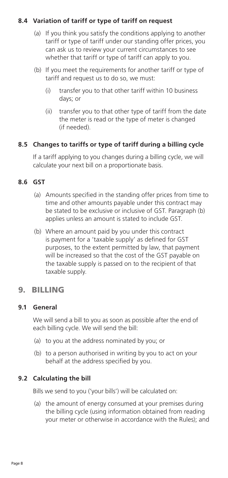# **8.4 Variation of tariff or type of tariff on request**

- (a) If you think you satisfy the conditions applying to another tariff or type of tariff under our standing offer prices, you can ask us to review your current circumstances to see whether that tariff or type of tariff can apply to you.
- (b) If you meet the requirements for another tariff or type of tariff and request us to do so, we must:
	- (i) transfer you to that other tariff within 10 business days; or
	- (ii) transfer you to that other type of tariff from the date the meter is read or the type of meter is changed (if needed).

# **8.5 Changes to tariffs or type of tariff during a billing cycle**

If a tariff applying to you changes during a billing cycle, we will calculate your next bill on a proportionate basis.

## **8.6 GST**

- (a) Amounts specified in the standing offer prices from time to time and other amounts payable under this contract may be stated to be exclusive or inclusive of GST. Paragraph (b) applies unless an amount is stated to include GST.
- (b) Where an amount paid by you under this contract is payment for a 'taxable supply' as defined for GST purposes, to the extent permitted by law, that payment will be increased so that the cost of the GST payable on the taxable supply is passed on to the recipient of that taxable supply.

# 9. BILLING

## **9.1 General**

We will send a bill to you as soon as possible after the end of each billing cycle. We will send the bill:

- (a) to you at the address nominated by you; or
- (b) to a person authorised in writing by you to act on your behalf at the address specified by you.

## **9.2 Calculating the bill**

Bills we send to you ('your bills') will be calculated on:

(a) the amount of energy consumed at your premises during the billing cycle (using information obtained from reading your meter or otherwise in accordance with the Rules); and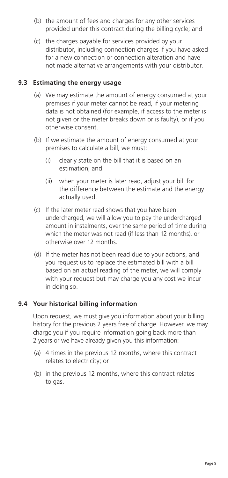- (b) the amount of fees and charges for any other services provided under this contract during the billing cycle; and
- (c) the charges payable for services provided by your distributor, including connection charges if you have asked for a new connection or connection alteration and have not made alternative arrangements with your distributor.

#### **9.3 Estimating the energy usage**

- (a) We may estimate the amount of energy consumed at your premises if your meter cannot be read, if your metering data is not obtained (for example, if access to the meter is not given or the meter breaks down or is faulty), or if you otherwise consent.
- (b) If we estimate the amount of energy consumed at your premises to calculate a bill, we must:
	- (i) clearly state on the bill that it is based on an estimation; and
	- (ii) when your meter is later read, adjust your bill for the difference between the estimate and the energy actually used.
- (c) If the later meter read shows that you have been undercharged, we will allow you to pay the undercharged amount in instalments, over the same period of time during which the meter was not read (if less than 12 months), or otherwise over 12 months.
- (d) If the meter has not been read due to your actions, and you request us to replace the estimated bill with a bill based on an actual reading of the meter, we will comply with your request but may charge you any cost we incur in doing so.

## **9.4 Your historical billing information**

Upon request, we must give you information about your billing history for the previous 2 years free of charge. However, we may charge you if you require information going back more than 2 years or we have already given you this information:

- (a) 4 times in the previous 12 months, where this contract relates to electricity; or
- (b) in the previous 12 months, where this contract relates to gas.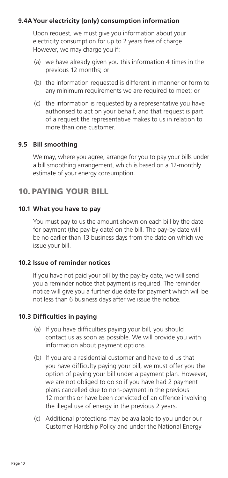## **9.4AYour electricity (only) consumption information**

Upon request, we must give you information about your electricity consumption for up to 2 years free of charge. However, we may charge you if:

- (a) we have already given you this information 4 times in the previous 12 months; or
- (b) the information requested is different in manner or form to any minimum requirements we are required to meet; or
- (c) the information is requested by a representative you have authorised to act on your behalf, and that request is part of a request the representative makes to us in relation to more than one customer.

#### **9.5 Bill smoothing**

We may, where you agree, arrange for you to pay your bills under a bill smoothing arrangement, which is based on a 12-monthly estimate of your energy consumption.

# 10. PAYING YOUR BILL

#### **10.1 What you have to pay**

You must pay to us the amount shown on each bill by the date for payment (the pay-by date) on the bill. The pay-by date will be no earlier than 13 business days from the date on which we issue your bill.

#### **10.2 Issue of reminder notices**

If you have not paid your bill by the pay-by date, we will send you a reminder notice that payment is required. The reminder notice will give you a further due date for payment which will be not less than 6 business days after we issue the notice.

## **10.3 Difficulties in paying**

- (a) If you have difficulties paying your bill, you should contact us as soon as possible. We will provide you with information about payment options.
- (b) If you are a residential customer and have told us that you have difficulty paying your bill, we must offer you the option of paying your bill under a payment plan. However, we are not obliged to do so if you have had 2 payment plans cancelled due to non-payment in the previous 12 months or have been convicted of an offence involving the illegal use of energy in the previous 2 years.
- (c) Additional protections may be available to you under our Customer Hardship Policy and under the National Energy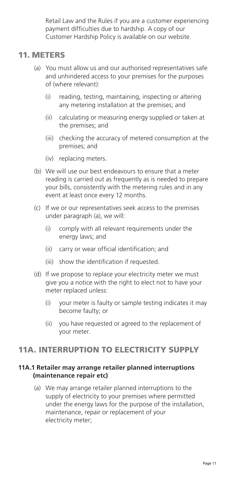Retail Law and the Rules if you are a customer experiencing payment difficulties due to hardship. A copy of our Customer Hardship Policy is available on our website.

# 11. METERS

- (a) You must allow us and our authorised representatives safe and unhindered access to your premises for the purposes of (where relevant):
	- (i) reading, testing, maintaining, inspecting or altering any metering installation at the premises; and
	- (ii) calculating or measuring energy supplied or taken at the premises; and
	- (iii) checking the accuracy of metered consumption at the premises; and
	- (iv) replacing meters.
- (b) We will use our best endeavours to ensure that a meter reading is carried out as frequently as is needed to prepare your bills, consistently with the metering rules and in any event at least once every 12 months.
- (c) If we or our representatives seek access to the premises under paragraph (a), we will:
	- (i) comply with all relevant requirements under the energy laws; and
	- (ii) carry or wear official identification; and
	- (iii) show the identification if requested.
- (d) If we propose to replace your electricity meter we must give you a notice with the right to elect not to have your meter replaced unless:
	- (i) your meter is faulty or sample testing indicates it may become faulty; or
	- (ii) you have requested or agreed to the replacement of your meter.

# 11A. INTERRUPTION TO ELECTRICITY SUPPLY

#### **11A.1 Retailer may arrange retailer planned interruptions (maintenance repair etc)**

(a) We may arrange retailer planned interruptions to the supply of electricity to your premises where permitted under the energy laws for the purpose of the installation, maintenance, repair or replacement of your electricity meter;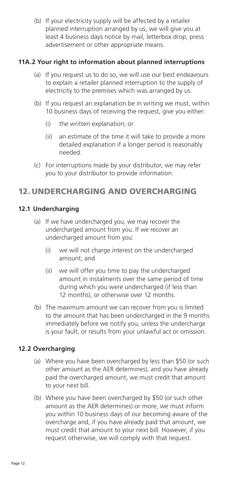(b) If your electricity supply will be affected by a retailer planned interruption arranged by us, we will give you at least 4 business days notice by mail, letterbox drop, press advertisement or other appropriate means.

## **11A.2 Your right to information about planned interruptions**

- (a) If you request us to do so, we will use our best endeavours to explain a retailer planned interruption to the supply of electricity to the premises which was arranged by us.
- (b) If you request an explanation be in writing we must, within 10 business days of receiving the request, give you either:
	- (i) the written explanation; or
	- (ii) an estimate of the time it will take to provide a more detailed explanation if a longer period is reasonably needed.
- (c) For interruptions made by your distributor, we may refer you to your distributor to provide information.

# 12. UNDERCHARGING AND OVERCHARGING

#### **12.1 Undercharging**

- (a) If we have undercharged you, we may recover the undercharged amount from you. If we recover an undercharged amount from you:
	- (i) we will not charge interest on the undercharged amount; and
	- (ii) we will offer you time to pay the undercharged amount in instalments over the same period of time during which you were undercharged (if less than 12 months), or otherwise over 12 months.
- (b) The maximum amount we can recover from you is limited to the amount that has been undercharged in the 9 months immediately before we notify you, unless the undercharge is your fault, or results from your unlawful act or omission.

## **12.2 Overcharging**

- (a) Where you have been overcharged by less than \$50 (or such other amount as the AER determines), and you have already paid the overcharged amount, we must credit that amount to your next bill.
- (b) Where you have been overcharged by \$50 (or such other amount as the AER determines) or more, we must inform you within 10 business days of our becoming aware of the overcharge and, if you have already paid that amount, we must credit that amount to your next bill. However, if you request otherwise, we will comply with that request.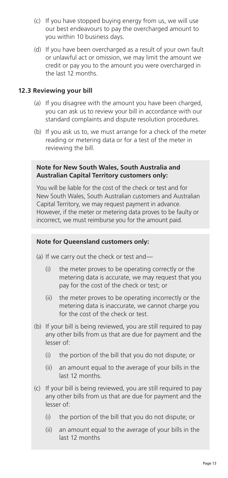- (c) If you have stopped buying energy from us, we will use our best endeavours to pay the overcharged amount to you within 10 business days.
- (d) If you have been overcharged as a result of your own fault or unlawful act or omission, we may limit the amount we credit or pay you to the amount you were overcharged in the last 12 months.

#### **12.3 Reviewing your bill**

- (a) If you disagree with the amount you have been charged, you can ask us to review your bill in accordance with our standard complaints and dispute resolution procedures.
- (b) If you ask us to, we must arrange for a check of the meter reading or metering data or for a test of the meter in reviewing the bill.

#### **Note for New South Wales, South Australia and Australian Capital Territory customers only:**

You will be liable for the cost of the check or test and for New South Wales, South Australian customers and Australian Capital Territory, we may request payment in advance. However, if the meter or metering data proves to be faulty or incorrect, we must reimburse you for the amount paid.

#### **Note for Queensland customers only:**

- (a) If we carry out the check or test and—
	- (i) the meter proves to be operating correctly or the metering data is accurate, we may request that you pay for the cost of the check or test; or
	- (ii) the meter proves to be operating incorrectly or the metering data is inaccurate, we cannot charge you for the cost of the check or test.
- (b) If your bill is being reviewed, you are still required to pay any other bills from us that are due for payment and the lesser of:
	- (i) the portion of the bill that you do not dispute; or
	- (ii) an amount equal to the average of your bills in the last 12 months.
- (c) If your bill is being reviewed, you are still required to pay any other bills from us that are due for payment and the lesser of:
	- (i) the portion of the bill that you do not dispute; or
	- (ii) an amount equal to the average of your bills in the last 12 months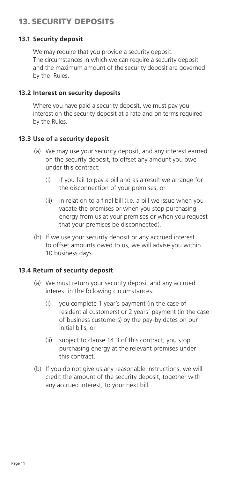# 13. SECURITY DEPOSITS

## **13.1 Security deposit**

We may require that you provide a security deposit. The circumstances in which we can require a security deposit and the maximum amount of the security deposit are governed by the Rules.

#### **13.2 Interest on security deposits**

Where you have paid a security deposit, we must pay you interest on the security deposit at a rate and on terms required by the Rules.

#### **13.3 Use of a security deposit**

- (a) We may use your security deposit, and any interest earned on the security deposit, to offset any amount you owe under this contract:
	- (i) if you fail to pay a bill and as a result we arrange for the disconnection of your premises; or
	- (ii) in relation to a final bill (i.e. a bill we issue when you vacate the premises or when you stop purchasing energy from us at your premises or when you request that your premises be disconnected).
- (b) If we use your security deposit or any accrued interest to offset amounts owed to us, we will advise you within 10 business days.

#### **13.4 Return of security deposit**

- (a) We must return your security deposit and any accrued interest in the following circumstances:
	- (i) you complete 1 year's payment (in the case of residential customers) or 2 years' payment (in the case of business customers) by the pay-by dates on our initial bills; or
	- (ii) subject to clause 14.3 of this contract, you stop purchasing energy at the relevant premises under this contract.
- (b) If you do not give us any reasonable instructions, we will credit the amount of the security deposit, together with any accrued interest, to your next bill.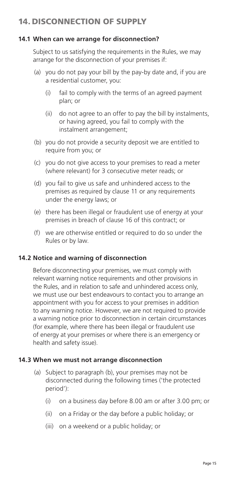# 14. DISCONNECTION OF SUPPLY

## **14.1 When can we arrange for disconnection?**

Subject to us satisfying the requirements in the Rules, we may arrange for the disconnection of your premises if:

- (a) you do not pay your bill by the pay-by date and, if you are a residential customer, you:
	- (i) fail to comply with the terms of an agreed payment plan; or
	- (ii) do not agree to an offer to pay the bill by instalments, or having agreed, you fail to comply with the instalment arrangement;
- (b) you do not provide a security deposit we are entitled to require from you; or
- (c) you do not give access to your premises to read a meter (where relevant) for 3 consecutive meter reads; or
- (d) you fail to give us safe and unhindered access to the premises as required by clause 11 or any requirements under the energy laws; or
- (e) there has been illegal or fraudulent use of energy at your premises in breach of clause 16 of this contract; or
- (f) we are otherwise entitled or required to do so under the Rules or by law.

#### **14.2 Notice and warning of disconnection**

Before disconnecting your premises, we must comply with relevant warning notice requirements and other provisions in the Rules, and in relation to safe and unhindered access only, we must use our best endeavours to contact you to arrange an appointment with you for access to your premises in addition to any warning notice. However, we are not required to provide a warning notice prior to disconnection in certain circumstances (for example, where there has been illegal or fraudulent use of energy at your premises or where there is an emergency or health and safety issue).

#### **14.3 When we must not arrange disconnection**

- (a) Subject to paragraph (b), your premises may not be disconnected during the following times ('the protected period'):
	- (i) on a business day before 8.00 am or after 3.00 pm; or
	- (ii) on a Friday or the day before a public holiday; or
	- (iii) on a weekend or a public holiday; or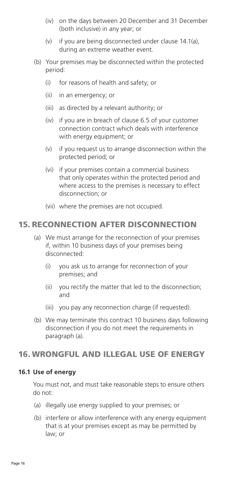- (iv) on the days between 20 December and 31 December (both inclusive) in any year; or
- (v) if you are being disconnected under clause 14.1(a), during an extreme weather event.
- (b) Your premises may be disconnected within the protected period:
	- (i) for reasons of health and safety; or
	- (ii) in an emergency; or
	- (iii) as directed by a relevant authority; or
	- (iv) if you are in breach of clause 6.5 of your customer connection contract which deals with interference with energy equipment; or
	- (v) if you request us to arrange disconnection within the protected period; or
	- (vi) if your premises contain a commercial business that only operates within the protected period and where access to the premises is necessary to effect disconnection; or
	- (vii) where the premises are not occupied.

# 15. RECONNECTION AFTER DISCONNECTION

- (a) We must arrange for the reconnection of your premises if, within 10 business days of your premises being disconnected:
	- (i) you ask us to arrange for reconnection of your premises; and
	- (ii) you rectify the matter that led to the disconnection; and
	- (iii) you pay any reconnection charge (if requested).
- (b) We may terminate this contract 10 business days following disconnection if you do not meet the requirements in paragraph (a).

# 16. WRONGFUL AND ILLEGAL USE OF ENERGY

#### **16.1 Use of energy**

You must not, and must take reasonable steps to ensure others do not:

- (a) illegally use energy supplied to your premises; or
- (b) interfere or allow interference with any energy equipment that is at your premises except as may be permitted by law; or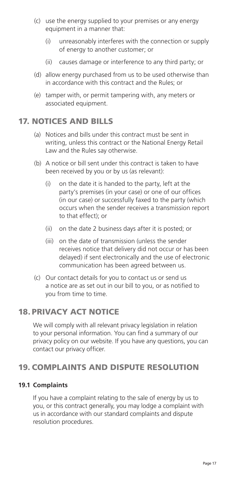- (c) use the energy supplied to your premises or any energy equipment in a manner that:
	- (i) unreasonably interferes with the connection or supply of energy to another customer; or
	- (ii) causes damage or interference to any third party; or
- (d) allow energy purchased from us to be used otherwise than in accordance with this contract and the Rules; or
- (e) tamper with, or permit tampering with, any meters or associated equipment.

# 17. NOTICES AND BILLS

- (a) Notices and bills under this contract must be sent in writing, unless this contract or the National Energy Retail Law and the Rules say otherwise.
- (b) A notice or bill sent under this contract is taken to have been received by you or by us (as relevant):
	- (i) on the date it is handed to the party, left at the party's premises (in your case) or one of our offices (in our case) or successfully faxed to the party (which occurs when the sender receives a transmission report to that effect); or
	- (ii) on the date 2 business days after it is posted; or
	- (iii) on the date of transmission (unless the sender receives notice that delivery did not occur or has been delayed) if sent electronically and the use of electronic communication has been agreed between us.
- (c) Our contact details for you to contact us or send us a notice are as set out in our bill to you, or as notified to you from time to time.

# 18. PRIVACY ACT NOTICE

We will comply with all relevant privacy legislation in relation to your personal information. You can find a summary of our privacy policy on our website. If you have any questions, you can contact our privacy officer.

# 19. COMPLAINTS AND DISPUTE RESOLUTION

#### **19.1 Complaints**

If you have a complaint relating to the sale of energy by us to you, or this contract generally, you may lodge a complaint with us in accordance with our standard complaints and dispute resolution procedures.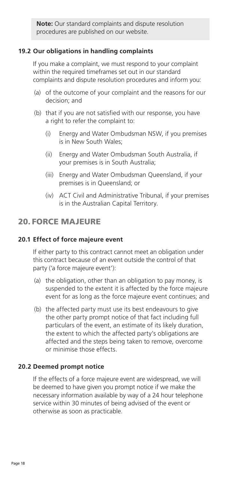**Note:** Our standard complaints and dispute resolution procedures are published on our website.

## **19.2 Our obligations in handling complaints**

If you make a complaint, we must respond to your complaint within the required timeframes set out in our standard complaints and dispute resolution procedures and inform you:

- (a) of the outcome of your complaint and the reasons for our decision; and
- (b) that if you are not satisfied with our response, you have a right to refer the complaint to:
	- (i) Energy and Water Ombudsman NSW, if you premises is in New South Wales;
	- (ii) Energy and Water Ombudsman South Australia, if your premises is in South Australia;
	- (iii) Energy and Water Ombudsman Queensland, if your premises is in Queensland; or
	- (iv) ACT Civil and Administrative Tribunal, if your premises is in the Australian Capital Territory.

# 20. FORCE MAJEURE

# **20.1 Effect of force majeure event**

If either party to this contract cannot meet an obligation under this contract because of an event outside the control of that party ('a force majeure event'):

- (a) the obligation, other than an obligation to pay money, is suspended to the extent it is affected by the force majeure event for as long as the force majeure event continues; and
- (b) the affected party must use its best endeavours to give the other party prompt notice of that fact including full particulars of the event, an estimate of its likely duration, the extent to which the affected party's obligations are affected and the steps being taken to remove, overcome or minimise those effects.

## **20.2 Deemed prompt notice**

If the effects of a force majeure event are widespread, we will be deemed to have given you prompt notice if we make the necessary information available by way of a 24 hour telephone service within 30 minutes of being advised of the event or otherwise as soon as practicable.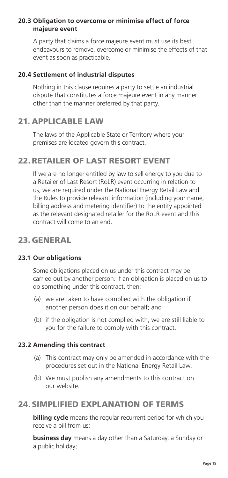## **20.3 Obligation to overcome or minimise effect of force majeure event**

A party that claims a force majeure event must use its best endeavours to remove, overcome or minimise the effects of that event as soon as practicable.

### **20.4 Settlement of industrial disputes**

Nothing in this clause requires a party to settle an industrial dispute that constitutes a force majeure event in any manner other than the manner preferred by that party.

# 21. APPLICABLE LAW

The laws of the Applicable State or Territory where your premises are located govern this contract.

# 22.RETAILER OF LAST RESORT EVENT

If we are no longer entitled by law to sell energy to you due to a Retailer of Last Resort (RoLR) event occurring in relation to us, we are required under the National Energy Retail Law and the Rules to provide relevant information (including your name, billing address and metering identifier) to the entity appointed as the relevant designated retailer for the RoLR event and this contract will come to an end.

# 23. GENERAL

#### **23.1 Our obligations**

Some obligations placed on us under this contract may be carried out by another person. If an obligation is placed on us to do something under this contract, then:

- (a) we are taken to have complied with the obligation if another person does it on our behalf; and
- (b) if the obligation is not complied with, we are still liable to you for the failure to comply with this contract.

#### **23.2 Amending this contract**

- (a) This contract may only be amended in accordance with the procedures set out in the National Energy Retail Law.
- (b) We must publish any amendments to this contract on our website.

# 24. SIMPLIFIED EXPLANATION OF TERMS

**billing cycle** means the regular recurrent period for which you receive a bill from us;

**business day** means a day other than a Saturday, a Sunday or a public holiday;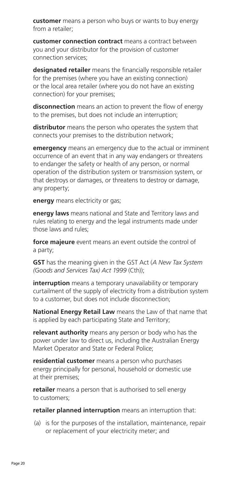**customer** means a person who buys or wants to buy energy from a retailer;

**customer connection contract** means a contract between you and your distributor for the provision of customer connection services;

**designated retailer** means the financially responsible retailer for the premises (where you have an existing connection) or the local area retailer (where you do not have an existing connection) for your premises;

**disconnection** means an action to prevent the flow of energy to the premises, but does not include an interruption;

**distributor** means the person who operates the system that connects your premises to the distribution network;

**emergency** means an emergency due to the actual or imminent occurrence of an event that in any way endangers or threatens to endanger the safety or health of any person, or normal operation of the distribution system or transmission system, or that destroys or damages, or threatens to destroy or damage, any property;

**energy** means electricity or gas;

**energy laws** means national and State and Territory laws and rules relating to energy and the legal instruments made under those laws and rules;

**force majeure** event means an event outside the control of a party;

**GST** has the meaning given in the GST Act (*A New Tax System (Goods and Services Tax) Act 1999* (Cth));

**interruption** means a temporary unavailability or temporary curtailment of the supply of electricity from a distribution system to a customer, but does not include disconnection;

**National Energy Retail Law** means the Law of that name that is applied by each participating State and Territory;

**relevant authority** means any person or body who has the power under law to direct us, including the Australian Energy Market Operator and State or Federal Police;

**residential customer** means a person who purchases energy principally for personal, household or domestic use at their premises;

**retailer** means a person that is authorised to sell energy to customers;

**retailer planned interruption** means an interruption that:

(a) is for the purposes of the installation, maintenance, repair or replacement of your electricity meter; and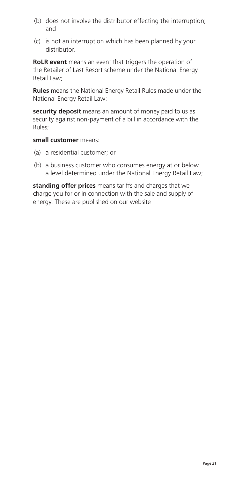- (b) does not involve the distributor effecting the interruption; and
- (c) is not an interruption which has been planned by your distributor.

**RoLR event** means an event that triggers the operation of the Retailer of Last Resort scheme under the National Energy Retail Law:

**Rules** means the National Energy Retail Rules made under the National Energy Retail Law:

**security deposit** means an amount of money paid to us as security against non-payment of a bill in accordance with the Rules;

**small customer** means:

- (a) a residential customer; or
- (b) a business customer who consumes energy at or below a level determined under the National Energy Retail Law;

**standing offer prices** means tariffs and charges that we charge you for or in connection with the sale and supply of energy. These are published on our website